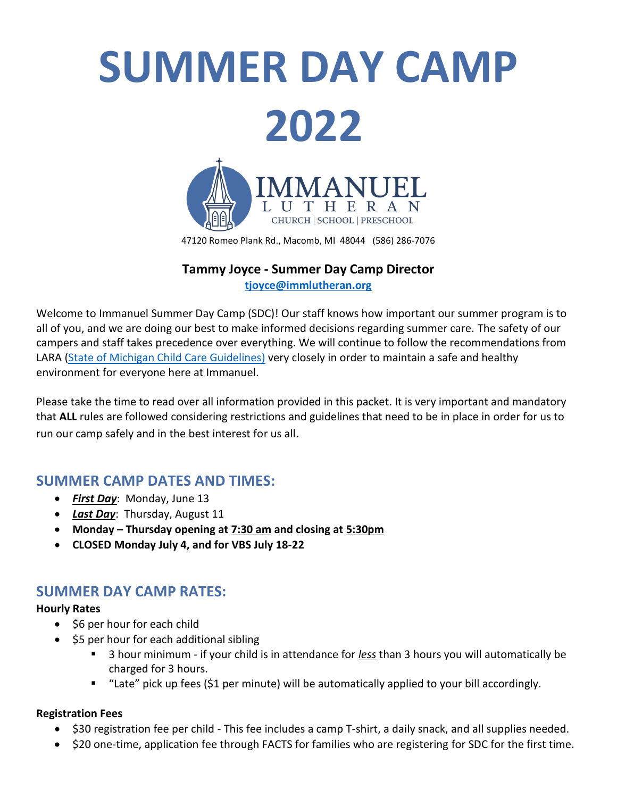

47120 Romeo Plank Rd., Macomb, MI 48044 (586) 286-7076

#### **Tammy Joyce - Summer Day Camp Director [tjoyce@immlutheran.org](mailto:tjoyce@immlutheran.org)**

Welcome to Immanuel Summer Day Camp (SDC)! Our staff knows how important our summer program is to all of you, and we are doing our best to make informed decisions regarding summer care. The safety of our campers and staff takes precedence over everything. We will continue to follow the recommendations from LARA [\(State of Michigan Child Care Guidelines\)](https://www.michigan.gov/documents/lara/Child_Care_Re-Opening_5-21-20_-_FINAL_691941_7.pdf) very closely in order to maintain a safe and healthy environment for everyone here at Immanuel.

Please take the time to read over all information provided in this packet. It is very important and mandatory that **ALL** rules are followed considering restrictions and guidelines that need to be in place in order for us to run our camp safely and in the best interest for us all.

# **SUMMER CAMP DATES AND TIMES:**

- *First Day*: Monday, June 13
- *Last Day*: Thursday, August 11
- **Monday – Thursday opening at 7:30 am and closing at 5:30pm**
- **CLOSED Monday July 4, and for VBS July 18-22**

# **SUMMER DAY CAMP RATES:**

#### **Hourly Rates**

- \$6 per hour for each child
- \$5 per hour for each additional sibling
	- 3 hour minimum if your child is in attendance for *less* than 3 hours you will automatically be charged for 3 hours.
	- "Late" pick up fees (\$1 per minute) will be automatically applied to your bill accordingly.

#### **Registration Fees**

- \$30 registration fee per child This fee includes a camp T-shirt, a daily snack, and all supplies needed.
- \$20 one-time, application fee through FACTS for families who are registering for SDC for the first time.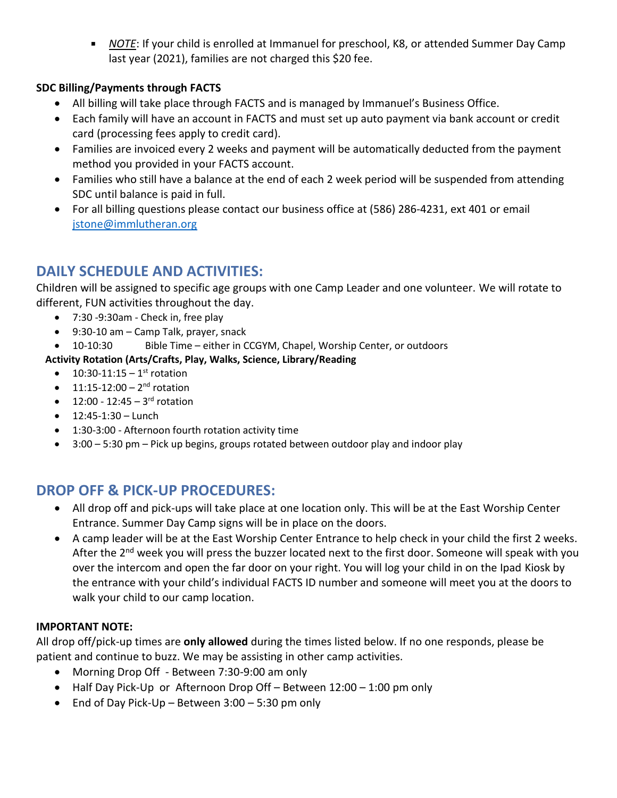*NOTE*: If your child is enrolled at Immanuel for preschool, K8, or attended Summer Day Camp last year (2021), families are not charged this \$20 fee.

#### **SDC Billing/Payments through FACTS**

- All billing will take place through FACTS and is managed by Immanuel's Business Office.
- Each family will have an account in FACTS and must set up auto payment via bank account or credit card (processing fees apply to credit card).
- Families are invoiced every 2 weeks and payment will be automatically deducted from the payment method you provided in your FACTS account.
- Families who still have a balance at the end of each 2 week period will be suspended from attending SDC until balance is paid in full.
- For all billing questions please contact our business office at (586) 286-4231, ext 401 or email [jstone@immlutheran.org](mailto:jstone@immlutheran.org)

# **DAILY SCHEDULE AND ACTIVITIES:**

Children will be assigned to specific age groups with one Camp Leader and one volunteer. We will rotate to different, FUN activities throughout the day.

- 7:30 -9:30am Check in, free play
- 9:30-10 am Camp Talk, prayer, snack
- 10-10:30 Bible Time either in CCGYM, Chapel, Worship Center, or outdoors

#### **Activity Rotation (Arts/Crafts, Play, Walks, Science, Library/Reading**

- $10:30-11:15-1$ <sup>st</sup> rotation
- $\bullet$  11:15-12:00 2<sup>nd</sup> rotation
- $12:00 12:45 3^{rd}$  rotation
- $\bullet$  12:45-1:30 Lunch
- 1:30-3:00 Afternoon fourth rotation activity time
- 3:00 5:30 pm Pick up begins, groups rotated between outdoor play and indoor play

# **DROP OFF & PICK-UP PROCEDURES:**

- All drop off and pick-ups will take place at one location only. This will be at the East Worship Center Entrance. Summer Day Camp signs will be in place on the doors.
- A camp leader will be at the East Worship Center Entrance to help check in your child the first 2 weeks. After the 2<sup>nd</sup> week you will press the buzzer located next to the first door. Someone will speak with you over the intercom and open the far door on your right. You will log your child in on the Ipad Kiosk by the entrance with your child's individual FACTS ID number and someone will meet you at the doors to walk your child to our camp location.

#### **IMPORTANT NOTE:**

All drop off/pick-up times are **only allowed** during the times listed below. If no one responds, please be patient and continue to buzz. We may be assisting in other camp activities.

- Morning Drop Off Between 7:30-9:00 am only
- Half Day Pick-Up or Afternoon Drop Off Between 12:00 1:00 pm only
- $\bullet$  End of Day Pick-Up Between 3:00 5:30 pm only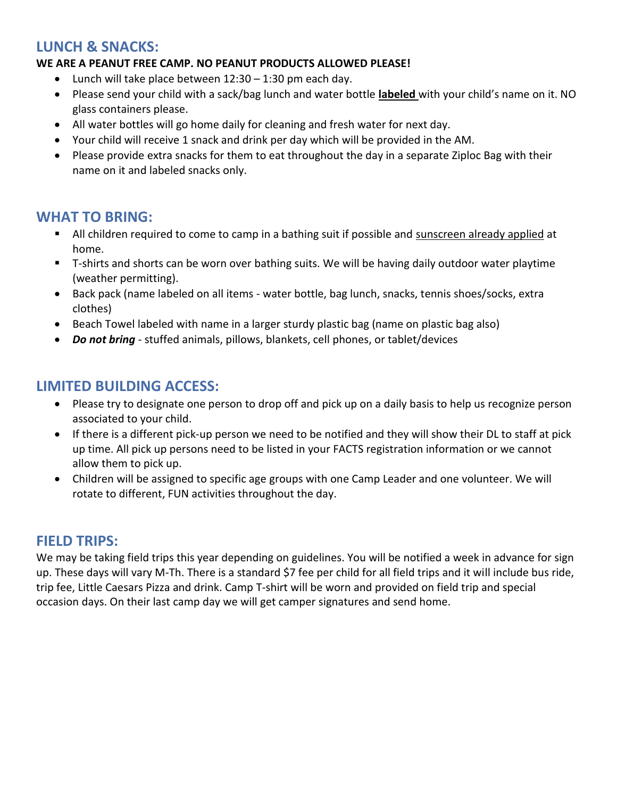# **LUNCH & SNACKS:**

#### **WE ARE A PEANUT FREE CAMP. NO PEANUT PRODUCTS ALLOWED PLEASE!**

- $\bullet$  Lunch will take place between 12:30 1:30 pm each day.
- Please send your child with a sack/bag lunch and water bottle **labeled** with your child's name on it. NO glass containers please.
- All water bottles will go home daily for cleaning and fresh water for next day.
- Your child will receive 1 snack and drink per day which will be provided in the AM.
- Please provide extra snacks for them to eat throughout the day in a separate Ziploc Bag with their name on it and labeled snacks only.

# **WHAT TO BRING:**

- All children required to come to camp in a bathing suit if possible and sunscreen already applied at home.
- **T**-shirts and shorts can be worn over bathing suits. We will be having daily outdoor water playtime (weather permitting).
- Back pack (name labeled on all items water bottle, bag lunch, snacks, tennis shoes/socks, extra clothes)
- Beach Towel labeled with name in a larger sturdy plastic bag (name on plastic bag also)
- *Do not bring* stuffed animals, pillows, blankets, cell phones, or tablet/devices

# **LIMITED BUILDING ACCESS:**

- Please try to designate one person to drop off and pick up on a daily basis to help us recognize person associated to your child.
- If there is a different pick-up person we need to be notified and they will show their DL to staff at pick up time. All pick up persons need to be listed in your FACTS registration information or we cannot allow them to pick up.
- Children will be assigned to specific age groups with one Camp Leader and one volunteer. We will rotate to different, FUN activities throughout the day.

### **FIELD TRIPS:**

We may be taking field trips this year depending on guidelines. You will be notified a week in advance for sign up. These days will vary M-Th. There is a standard \$7 fee per child for all field trips and it will include bus ride, trip fee, Little Caesars Pizza and drink. Camp T-shirt will be worn and provided on field trip and special occasion days. On their last camp day we will get camper signatures and send home.